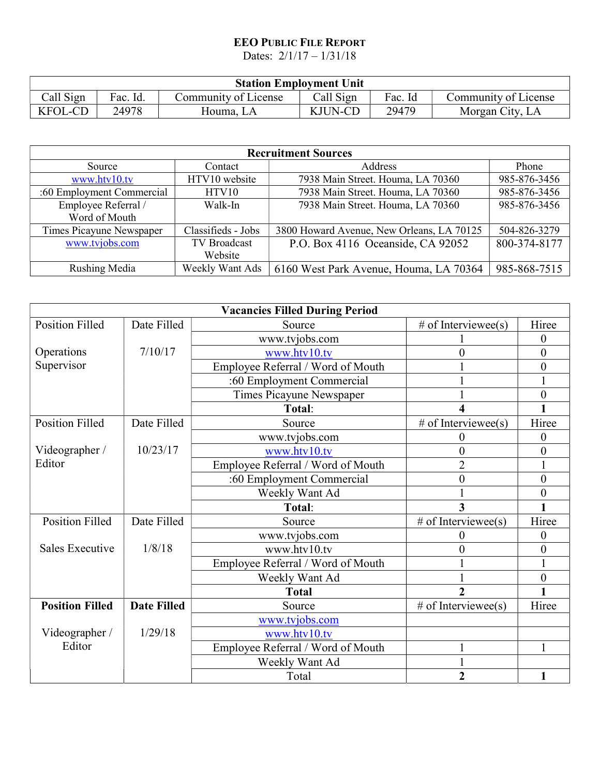## EEO PUBLIC FILE REPORT

Dates: 2/1/17 – 1/31/18

| <b>Station Employment Unit</b> |          |                      |                |         |                      |  |
|--------------------------------|----------|----------------------|----------------|---------|----------------------|--|
| Call Sign                      | Fac. Id. | Community of License | Call Sign      | Fac. Id | Community of License |  |
| <b>KFOL-CD</b>                 | 24978    | Houma, LA            | <b>KJUN-CD</b> | 29479   | Morgan City, LA      |  |

| <b>Recruitment Sources</b> |                    |                                           |              |  |  |
|----------------------------|--------------------|-------------------------------------------|--------------|--|--|
| Source                     | Contact            | Address                                   | Phone        |  |  |
| www.htv10.tv               | HTV10 website      | 7938 Main Street. Houma, LA 70360         | 985-876-3456 |  |  |
| :60 Employment Commercial  | HTV10              | 7938 Main Street. Houma, LA 70360         | 985-876-3456 |  |  |
| Employee Referral /        | Walk-In            | 7938 Main Street. Houma, LA 70360         | 985-876-3456 |  |  |
| Word of Mouth              |                    |                                           |              |  |  |
| Times Picayune Newspaper   | Classifieds - Jobs | 3800 Howard Avenue, New Orleans, LA 70125 | 504-826-3279 |  |  |
| www.tvjobs.com             | TV Broadcast       | P.O. Box 4116 Oceanside, CA 92052         | 800-374-8177 |  |  |
|                            | Website            |                                           |              |  |  |
| Rushing Media              | Weekly Want Ads    | 6160 West Park Avenue, Houma, LA 70364    | 985-868-7515 |  |  |

| <b>Vacancies Filled During Period</b> |                    |                                   |                     |                  |  |  |
|---------------------------------------|--------------------|-----------------------------------|---------------------|------------------|--|--|
| <b>Position Filled</b>                | Date Filled        | Source                            | # of Interviewee(s) | Hiree            |  |  |
|                                       |                    | www.tvjobs.com                    |                     | $\Omega$         |  |  |
| Operations                            | 7/10/17            | www.htv10.tv                      | $\overline{0}$      | $\overline{0}$   |  |  |
| Supervisor                            |                    | Employee Referral / Word of Mouth |                     | $\theta$         |  |  |
|                                       |                    | :60 Employment Commercial         |                     |                  |  |  |
|                                       |                    | Times Picayune Newspaper          |                     | $\theta$         |  |  |
|                                       |                    | Total:                            | 4                   |                  |  |  |
| <b>Position Filled</b>                | Date Filled        | Source                            | # of Interviewee(s) | Hiree            |  |  |
|                                       |                    | www.tvjobs.com                    | 0                   | $\theta$         |  |  |
| Videographer /                        | 10/23/17           | www.htv10.tv                      | $\overline{0}$      | 0                |  |  |
| Editor                                |                    | Employee Referral / Word of Mouth | $\overline{2}$      |                  |  |  |
|                                       |                    | :60 Employment Commercial         | $\boldsymbol{0}$    | $\theta$         |  |  |
|                                       |                    | Weekly Want Ad                    |                     | 0                |  |  |
|                                       |                    | Total:                            | 3                   |                  |  |  |
| <b>Position Filled</b>                | Date Filled        | Source                            | # of Interviewee(s) | Hiree            |  |  |
|                                       |                    | www.tvjobs.com                    | 0                   | $\boldsymbol{0}$ |  |  |
| Sales Executive                       | 1/8/18             | www.htv10.tv                      | 0                   | $\theta$         |  |  |
|                                       |                    | Employee Referral / Word of Mouth |                     |                  |  |  |
|                                       |                    | Weekly Want Ad                    |                     | $\overline{0}$   |  |  |
|                                       |                    | <b>Total</b>                      | $\overline{2}$      |                  |  |  |
| <b>Position Filled</b>                | <b>Date Filled</b> | Source                            | # of Interviewee(s) | Hiree            |  |  |
|                                       |                    | www.tvjobs.com                    |                     |                  |  |  |
| Videographer /                        | 1/29/18            | www.htv10.tv                      |                     |                  |  |  |
| Editor                                |                    | Employee Referral / Word of Mouth |                     |                  |  |  |
|                                       |                    | Weekly Want Ad                    |                     |                  |  |  |
|                                       |                    | Total                             | $\overline{2}$      |                  |  |  |